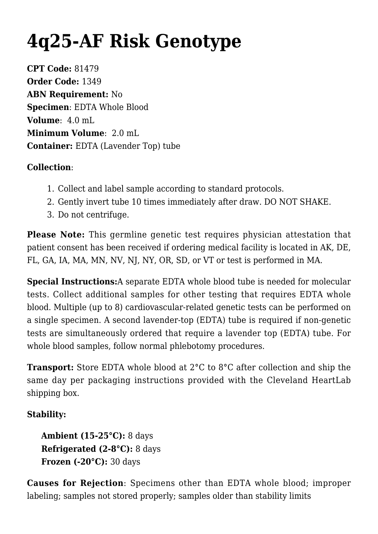## **[4q25-AF Risk Genotype](https://www.clevelandheartlab.com/tests/4q25-af-risk-genotype/)**

**CPT Code:** 81479 **Order Code:** 1349 **ABN Requirement:** No **Specimen**: EDTA Whole Blood **Volume**: 4.0 mL **Minimum Volume**: 2.0 mL **Container:** EDTA (Lavender Top) tube

## **Collection**:

- 1. Collect and label sample according to standard protocols.
- 2. Gently invert tube 10 times immediately after draw. DO NOT SHAKE.
- 3. Do not centrifuge.

**Please Note:** This germline genetic test requires physician attestation that patient consent has been received if ordering medical facility is located in AK, DE, FL, GA, IA, MA, MN, NV, NJ, NY, OR, SD, or VT or test is performed in MA.

**Special Instructions:**A separate EDTA whole blood tube is needed for molecular tests. Collect additional samples for other testing that requires EDTA whole blood. Multiple (up to 8) cardiovascular-related genetic tests can be performed on a single specimen. A second lavender-top (EDTA) tube is required if non-genetic tests are simultaneously ordered that require a lavender top (EDTA) tube. For whole blood samples, follow normal phlebotomy procedures.

**Transport:** Store EDTA whole blood at 2°C to 8°C after collection and ship the same day per packaging instructions provided with the Cleveland HeartLab shipping box.

## **Stability:**

**Ambient (15-25°C):** 8 days **Refrigerated (2-8°C):** 8 days **Frozen (-20°C):** 30 days

**Causes for Rejection**: Specimens other than EDTA whole blood; improper labeling; samples not stored properly; samples older than stability limits